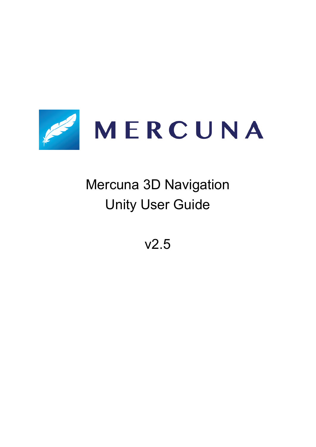

# Mercuna 3D Navigation Unity User Guide

v2.5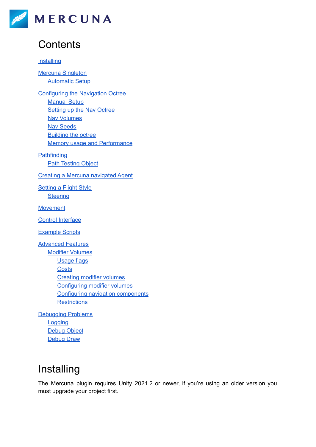

# **Contents**

#### **[Installing](#page-1-0)**

Mercuna [Singleton](#page-2-0) [Automatic](#page-2-1) Setup

[Configuring](#page-2-2) the Navigation Octree **[Manual](#page-3-0) Setup** [Setting](#page-3-1) up the Nav Octree Nav [Volumes](#page-4-0) Nav [Seeds](#page-4-1) [Building](#page-5-0) the octree Memory usage and [Performance](#page-5-1)

**[Pathfinding](#page-5-2)** Path [Testing](#page-6-0) Object

Creating a Mercuna [navigated](#page-6-1) Agent

[Setting](#page-7-0) a Flight Style **[Steering](#page-7-1)** 

[Movement](#page-8-0)

Control [Interface](#page-8-1)

[Example](#page-9-0) Scripts

[Advanced](#page-9-1) Features Modifier [Volumes](#page-9-2) [Usage](#page-10-0) flags **[Costs](#page-10-1)** [Creating](#page-10-2) modifier volumes [Configuring](#page-11-0) modifier volumes Configuring navigation [components](#page-11-1) **[Restrictions](#page-11-2)** 

[Debugging](#page-12-0) Problems **[Logging](#page-12-1)** [Debug](#page-12-2) Object [Debug](#page-12-3) Draw

# <span id="page-1-0"></span>Installing

The Mercuna plugin requires Unity 2021.2 or newer, if you're using an older version you must upgrade your project first.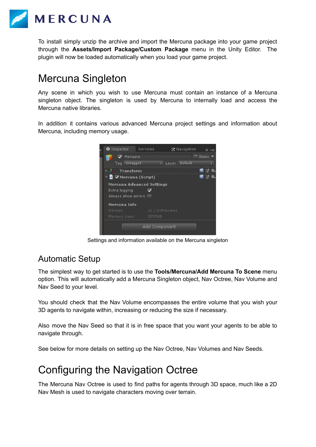

To install simply unzip the archive and import the Mercuna package into your game project through the **Assets/Import Package/Custom Package** menu in the Unity Editor. The plugin will now be loaded automatically when you load your game project.

### <span id="page-2-0"></span>Mercuna Singleton

Any scene in which you wish to use Mercuna must contain an instance of a Mercuna singleton object. The singleton is used by Mercuna to internally load and access the Mercuna native libraries.

In addition it contains various advanced Mercuna project settings and information about Mercuna, including memory usage.



Settings and information available on the Mercuna singleton

### <span id="page-2-1"></span>Automatic Setup

The simplest way to get started is to use the **Tools/Mercuna/Add Mercuna To Scene** menu option. This will automatically add a Mercuna Singleton object, Nav Octree, Nav Volume and Nav Seed to your level.

You should check that the Nav Volume encompasses the entire volume that you wish your 3D agents to navigate within, increasing or reducing the size if necessary.

Also move the Nav Seed so that it is in free space that you want your agents to be able to navigate through.

<span id="page-2-2"></span>See below for more details on setting up the Nav Octree, Nav Volumes and Nav Seeds.

# Configuring the Navigation Octree

The Mercuna Nav Octree is used to find paths for agents through 3D space, much like a 2D Nav Mesh is used to navigate characters moving over terrain.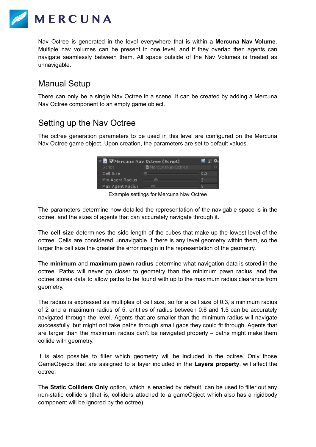

Nav Octree is generated in the level everywhere that is within a **Mercuna Nav Volume**. Multiple nav volumes can be present in one level, and if they overlap then agents can navigate seamlessly between them. All space outside of the Nav Volumes is treated as unnavigable.

### <span id="page-3-0"></span>Manual Setup

There can only be a single Nav Octree in a scene. It can be created by adding a Mercuna Nav Octree component to an empty game object.

### <span id="page-3-1"></span>Setting up the Nav Octree

The octree generation parameters to be used in this level are configured on the Mercuna Nav Octree game object. Upon creation, the parameters are set to default values.



Example settings for Mercuna Nav Octree

The parameters determine how detailed the representation of the navigable space is in the octree, and the sizes of agents that can accurately navigate through it.

The **cell size** determines the side length of the cubes that make up the lowest level of the octree. Cells are considered unnavigable if there is any level geometry within them, so the larger the cell size the greater the error margin in the representation of the geometry.

The **minimum** and **maximum pawn radius** determine what navigation data is stored in the octree. Paths will never go closer to geometry than the minimum pawn radius, and the octree stores data to allow paths to be found with up to the maximum radius clearance from geometry.

The radius is expressed as multiples of cell size, so for a cell size of 0.3, a minimum radius of 2 and a maximum radius of 5, entities of radius between 0.6 and 1.5 can be accurately navigated through the level. Agents that are smaller than the minimum radius will navigate successfully, but might not take paths through small gaps they could fit through. Agents that are larger than the maximum radius can't be navigated properly – paths might make them collide with geometry.

It is also possible to filter which geometry will be included in the octree. Only those GameObjects that are assigned to a layer included in the **Layers property**, will affect the octree.

The **Static Colliders Only** option, which is enabled by default, can be used to filter out any non-static colliders (that is, colliders attached to a gameObject which also has a rigidbody component will be ignored by the octree).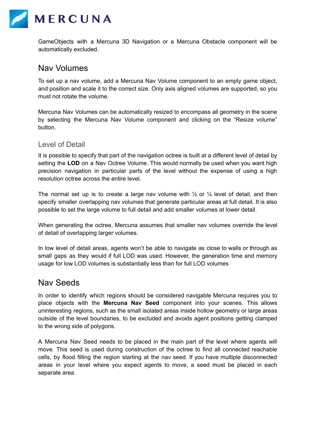

GameObjects with a Mercuna 3D Navigation or a Mercuna Obstacle component will be automatically excluded.

#### <span id="page-4-0"></span>Nav Volumes

To set up a nav volume, add a Mercuna Nav Volume component to an empty game object, and position and scale it to the correct size. Only axis aligned volumes are supported, so you must not rotate the volume.

Mercuna Nav Volumes can be automatically resized to encompass all geometry in the scene by selecting the Mercuna Nav Volume component and clicking on the "Resize volume" button.

#### Level of Detail

It is possible to specify that part of the navigation octree is built at a different level of detail by setting the **LOD** on a Nav Octree Volume. This would normally be used when you want high precision navigation in particular parts of the level without the expense of using a high resolution octree across the entire level.

The normal set up is to create a large nav volume with  $\frac{1}{2}$  or  $\frac{1}{4}$  level of detail, and then specify smaller overlapping nav volumes that generate particular areas at full detail. It is also possible to set the large volume to full detail and add smaller volumes at lower detail.

When generating the octree, Mercuna assumes that smaller nav volumes override the level of detail of overlapping larger volumes.

In low level of detail areas, agents won't be able to navigate as close to walls or through as small gaps as they would if full LOD was used. However, the generation time and memory usage for low LOD volumes is substantially less than for full LOD volumes

#### <span id="page-4-1"></span>Nav Seeds

In order to identify which regions should be considered navigable Mercuna requires you to place objects with the **Mercuna Nav Seed** component into your scenes. This allows uninteresting regions, such as the small isolated areas inside hollow geometry or large areas outside of the level boundaries, to be excluded and avoids agent positions getting clamped to the wrong side of polygons.

A Mercuna Nav Seed needs to be placed in the main part of the level where agents will move. This seed is used during construction of the octree to find all connected reachable cells, by flood filling the region starting at the nav seed. If you have multiple disconnected areas in your level where you expect agents to move, a seed must be placed in each separate area.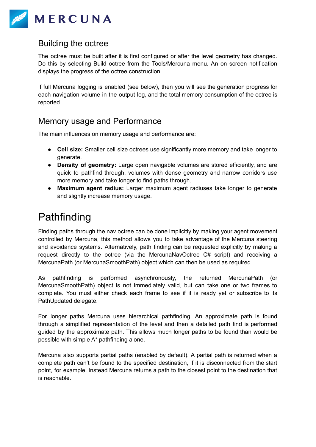

#### <span id="page-5-0"></span>Building the octree

The octree must be built after it is first configured or after the level geometry has changed. Do this by selecting Build octree from the Tools/Mercuna menu. An on screen notification displays the progress of the octree construction.

If full Mercuna logging is enabled (see below), then you will see the generation progress for each navigation volume in the output log, and the total memory consumption of the octree is reported.

### <span id="page-5-1"></span>Memory usage and Performance

The main influences on memory usage and performance are:

- **Cell size:** Smaller cell size octrees use significantly more memory and take longer to generate.
- **Density of geometry:** Large open navigable volumes are stored efficiently, and are quick to pathfind through, volumes with dense geometry and narrow corridors use more memory and take longer to find paths through.
- **Maximum agent radius:** Larger maximum agent radiuses take longer to generate and slightly increase memory usage.

# <span id="page-5-2"></span>Pathfinding

Finding paths through the nav octree can be done implicitly by making your agent movement controlled by Mercuna, this method allows you to take advantage of the Mercuna steering and avoidance systems. Alternatively, path finding can be requested explicitly by making a request directly to the octree (via the MercunaNavOctree C# script) and receiving a MercunaPath (or MercunaSmoothPath) object which can then be used as required.

As pathfinding is performed asynchronously, the returned MercunaPath (or MercunaSmoothPath) object is not immediately valid, but can take one or two frames to complete. You must either check each frame to see if it is ready yet or subscribe to its PathUpdated delegate.

For longer paths Mercuna uses hierarchical pathfinding. An approximate path is found through a simplified representation of the level and then a detailed path find is performed guided by the approximate path. This allows much longer paths to be found than would be possible with simple A\* pathfinding alone.

Mercuna also supports partial paths (enabled by default). A partial path is returned when a complete path can't be found to the specified destination, if it is disconnected from the start point, for example. Instead Mercuna returns a path to the closest point to the destination that is reachable.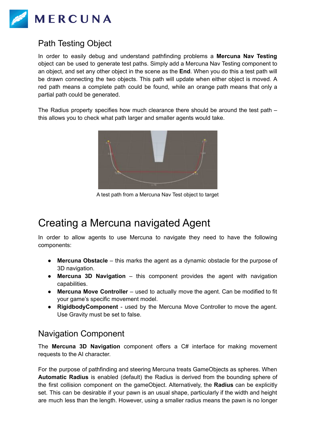

### <span id="page-6-0"></span>Path Testing Object

In order to easily debug and understand pathfinding problems a **Mercuna Nav Testing** object can be used to generate test paths. Simply add a Mercuna Nav Testing component to an object, and set any other object in the scene as the **End**. When you do this a test path will be drawn connecting the two objects. This path will update when either object is moved. A red path means a complete path could be found, while an orange path means that only a partial path could be generated.

The Radius property specifies how much clearance there should be around the test path – this allows you to check what path larger and smaller agents would take.



A test path from a Mercuna Nav Test object to target

### <span id="page-6-1"></span>Creating a Mercuna navigated Agent

In order to allow agents to use Mercuna to navigate they need to have the following components:

- **Mercuna Obstacle** this marks the agent as a dynamic obstacle for the purpose of 3D navigation.
- **Mercuna 3D Navigation** this component provides the agent with navigation capabilities.
- **Mercuna Move Controller** used to actually move the agent. Can be modified to fit your game's specific movement model.
- **● RigidbodyComponent** used by the Mercuna Move Controller to move the agent. Use Gravity must be set to false.

### Navigation Component

The **Mercuna 3D Navigation** component offers a C# interface for making movement requests to the AI character.

For the purpose of pathfinding and steering Mercuna treats GameObjects as spheres. When **Automatic Radius** is enabled (default) the Radius is derived from the bounding sphere of the first collision component on the gameObject. Alternatively, the **Radius** can be explicitly set. This can be desirable if your pawn is an usual shape, particularly if the width and height are much less than the length. However, using a smaller radius means the pawn is no longer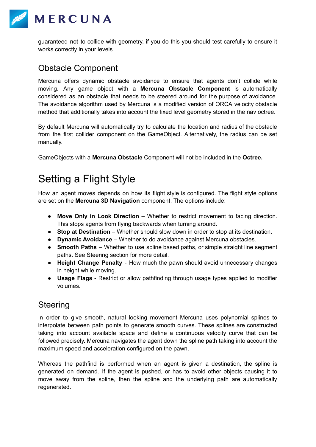

guaranteed not to collide with geometry, if you do this you should test carefully to ensure it works correctly in your levels.

#### Obstacle Component

Mercuna offers dynamic obstacle avoidance to ensure that agents don't collide while moving. Any game object with a **Mercuna Obstacle Component** is automatically considered as an obstacle that needs to be steered around for the purpose of avoidance. The avoidance algorithm used by Mercuna is a modified version of ORCA velocity obstacle method that additionally takes into account the fixed level geometry stored in the nav octree.

By default Mercuna will automatically try to calculate the location and radius of the obstacle from the first collider component on the GameObject. Alternatively, the radius can be set manually.

<span id="page-7-0"></span>GameObjects with a **Mercuna Obstacle** Component will not be included in the **Octree.**

# Setting a Flight Style

How an agent moves depends on how its flight style is configured. The flight style options are set on the **Mercuna 3D Navigation** component. The options include:

- **Move Only in Look Direction** Whether to restrict movement to facing direction. This stops agents from flying backwards when turning around.
- **Stop at Destination** Whether should slow down in order to stop at its destination.
- **Dynamic Avoidance** Whether to do avoidance against Mercuna obstacles.
- **Smooth Paths** Whether to use spline based paths, or simple straight line segment paths. See Steering section for more detail.
- **Height Change Penalty** How much the pawn should avoid unnecessary changes in height while moving.
- **Usage Flags** Restrict or allow pathfinding through usage types applied to modifier volumes.

### <span id="page-7-1"></span>**Steering**

In order to give smooth, natural looking movement Mercuna uses polynomial splines to interpolate between path points to generate smooth curves. These splines are constructed taking into account available space and define a continuous velocity curve that can be followed precisely. Mercuna navigates the agent down the spline path taking into account the maximum speed and acceleration configured on the pawn.

Whereas the pathfind is performed when an agent is given a destination, the spline is generated on demand. If the agent is pushed, or has to avoid other objects causing it to move away from the spline, then the spline and the underlying path are automatically regenerated.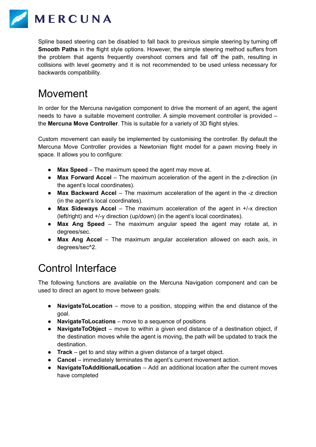

Spline based steering can be disabled to fall back to previous simple steering by turning off **Smooth Paths** in the flight style options. However, the simple steering method suffers from the problem that agents frequently overshoot corners and fall off the path, resulting in collisions with level geometry and it is not recommended to be used unless necessary for backwards compatibility.

# <span id="page-8-0"></span>Movement

In order for the Mercuna navigation component to drive the moment of an agent, the agent needs to have a suitable movement controller. A simple movement controller is provided – the **Mercuna Move Controller**. This is suitable for a variety of 3D flight styles.

Custom movement can easily be implemented by customising the controller. By default the Mercuna Move Controller provides a Newtonian flight model for a pawn moving freely in space. It allows you to configure:

- **Max Speed** The maximum speed the agent may move at.
- **Max Forward Accel** The maximum acceleration of the agent in the z-direction (in the agent's local coordinates).
- **Max Backward Accel** The maximum acceleration of the agent in the -z direction (in the agent's local coordinates).
- **Max Sideways Accel** The maximum acceleration of the agent in +/-x direction (left/right) and +/-y direction (up/down) (in the agent's local coordinates).
- **Max Ang Speed** The maximum angular speed the agent may rotate at, in degrees/sec.
- **Max Ang Accel** The maximum angular acceleration allowed on each axis, in degrees/sec^2.

# <span id="page-8-1"></span>Control Interface

The following functions are available on the Mercuna Navigation component and can be used to direct an agent to move between goals:

- **NavigateToLocation** move to a position, stopping within the end distance of the goal.
- **NavigateToLocations** move to a sequence of positions
- **NavigateToObject** move to within a given end distance of a destination object, if the destination moves while the agent is moving, the path will be updated to track the destination.
- **Track** get to and stay within a given distance of a target object.
- **Cancel** immediately terminates the agent's current movement action.
- **NavigateToAdditionalLocation** Add an additional location after the current moves have completed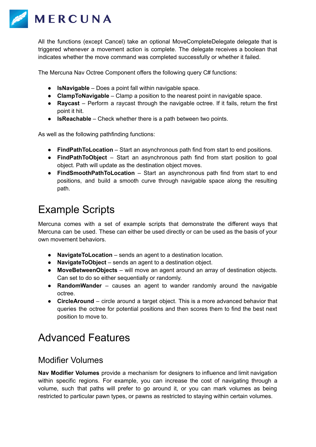

All the functions (except Cancel) take an optional MoveCompleteDelegate delegate that is triggered whenever a movement action is complete. The delegate receives a boolean that indicates whether the move command was completed successfully or whether it failed.

The Mercuna Nav Octree Component offers the following query C# functions:

- **IsNavigable** Does a point fall within navigable space.
- **ClampToNavigable** Clamp a position to the nearest point in navigable space.
- **Raycast** Perform a raycast through the navigable octree. If it fails, return the first point it hit.
- **IsReachable** Check whether there is a path between two points.

As well as the following pathfinding functions:

- **FindPathToLocation** Start an asynchronous path find from start to end positions.
- **FindPathToObject** Start an asynchronous path find from start position to goal object. Path will update as the destination object moves.
- **FindSmoothPathToLocation** Start an asynchronous path find from start to end positions, and build a smooth curve through navigable space along the resulting path.

# <span id="page-9-0"></span>Example Scripts

Mercuna comes with a set of example scripts that demonstrate the different ways that Mercuna can be used. These can either be used directly or can be used as the basis of your own movement behaviors.

- **NavigateToLocation** sends an agent to a destination location.
- **NavigateToObject** sends an agent to a destination object.
- **MoveBetweenObjects** will move an agent around an array of destination objects. Can set to do so either sequentially or randomly.
- **RandomWander** causes an agent to wander randomly around the navigable octree.
- **CircleAround** circle around a target object. This is a more advanced behavior that queries the octree for potential positions and then scores them to find the best next position to move to.

# <span id="page-9-1"></span>Advanced Features

#### <span id="page-9-2"></span>Modifier Volumes

**Nav Modifier Volumes** provide a mechanism for designers to influence and limit navigation within specific regions. For example, you can increase the cost of navigating through a volume, such that paths will prefer to go around it, or you can mark volumes as being restricted to particular pawn types, or pawns as restricted to staying within certain volumes.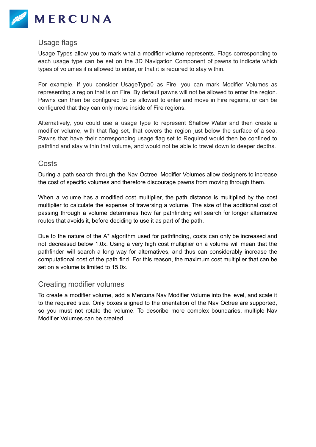

#### <span id="page-10-0"></span>Usage flags

Usage Types allow you to mark what a modifier volume represents. Flags corresponding to each usage type can be set on the 3D Navigation Component of pawns to indicate which types of volumes it is allowed to enter, or that it is required to stay within.

For example, if you consider UsageType0 as Fire, you can mark Modifier Volumes as representing a region that is on Fire. By default pawns will not be allowed to enter the region. Pawns can then be configured to be allowed to enter and move in Fire regions, or can be configured that they can only move inside of Fire regions.

Alternatively, you could use a usage type to represent Shallow Water and then create a modifier volume, with that flag set, that covers the region just below the surface of a sea. Pawns that have their corresponding usage flag set to Required would then be confined to pathfind and stay within that volume, and would not be able to travel down to deeper depths.

#### <span id="page-10-1"></span>**Costs**

During a path search through the Nav Octree, Modifier Volumes allow designers to increase the cost of specific volumes and therefore discourage pawns from moving through them.

When a volume has a modified cost multiplier, the path distance is multiplied by the cost multiplier to calculate the expense of traversing a volume. The size of the additional cost of passing through a volume determines how far pathfinding will search for longer alternative routes that avoids it, before deciding to use it as part of the path.

Due to the nature of the A\* algorithm used for pathfinding, costs can only be increased and not decreased below 1.0x. Using a very high cost multiplier on a volume will mean that the pathfinder will search a long way for alternatives, and thus can considerably increase the computational cost of the path find. For this reason, the maximum cost multiplier that can be set on a volume is limited to 15.0x.

#### <span id="page-10-2"></span>Creating modifier volumes

To create a modifier volume, add a Mercuna Nav Modifier Volume into the level, and scale it to the required size. Only boxes aligned to the orientation of the Nav Octree are supported, so you must not rotate the volume. To describe more complex boundaries, multiple Nav Modifier Volumes can be created.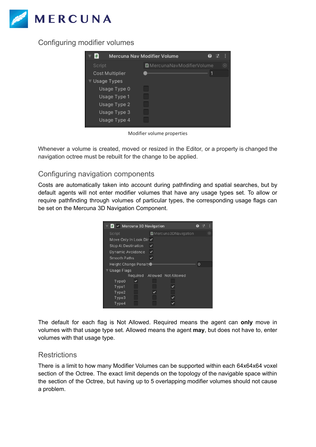

#### <span id="page-11-0"></span>Configuring modifier volumes



Modifier volume properties

Whenever a volume is created, moved or resized in the Editor, or a property is changed the navigation octree must be rebuilt for the change to be applied.

#### <span id="page-11-1"></span>Configuring navigation components

Costs are automatically taken into account during pathfinding and spatial searches, but by default agents will not enter modifier volumes that have any usage types set. To allow or require pathfinding through volumes of particular types, the corresponding usage flags can be set on the Mercuna 3D Navigation Component.

| $\blacksquare$ $\vee$ Mercuna 3D Navigation |                     |          |         |
|---------------------------------------------|---------------------|----------|---------|
| Script                                      | Mercuna3DNavigation |          | $\odot$ |
| Move Only In Look Dir ✔                     |                     |          |         |
| <b>Stop At Destination</b>                  |                     |          |         |
| Dynamic Avoidance                           |                     |          |         |
| Smooth Paths                                |                     |          |         |
| Height Change Penalt ●                      |                     | $\Omega$ |         |
| Usage Flags                                 |                     |          |         |
| Required                                    | Allowed Not Allowed |          |         |
| Type <sub>0</sub>                           |                     |          |         |
| Type1                                       |                     |          |         |
| Type2                                       |                     |          |         |
| Type3                                       |                     |          |         |
| Type4                                       |                     |          |         |

The default for each flag is Not Allowed. Required means the agent can **only** move in volumes with that usage type set. Allowed means the agent **may**, but does not have to, enter volumes with that usage type.

#### <span id="page-11-2"></span>**Restrictions**

There is a limit to how many Modifier Volumes can be supported within each 64x64x64 voxel section of the Octree. The exact limit depends on the topology of the navigable space within the section of the Octree, but having up to 5 overlapping modifier volumes should not cause a problem.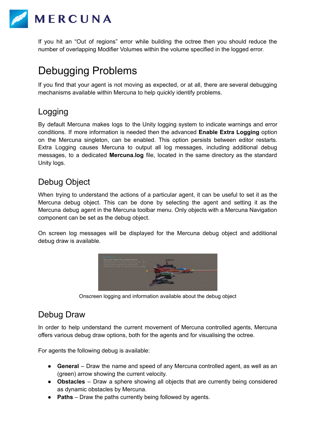

If you hit an "Out of regions" error while building the octree then you should reduce the number of overlapping Modifier Volumes within the volume specified in the logged error.

# <span id="page-12-0"></span>Debugging Problems

If you find that your agent is not moving as expected, or at all, there are several debugging mechanisms available within Mercuna to help quickly identify problems.

### <span id="page-12-1"></span>Logging

By default Mercuna makes logs to the Unity logging system to indicate warnings and error conditions. If more information is needed then the advanced **Enable Extra Logging** option on the Mercuna singleton, can be enabled. This option persists between editor restarts. Extra Logging causes Mercuna to output all log messages, including additional debug messages, to a dedicated **Mercuna.log** file, located in the same directory as the standard Unity logs.

### <span id="page-12-2"></span>Debug Object

When trying to understand the actions of a particular agent, it can be useful to set it as the Mercuna debug object. This can be done by selecting the agent and setting it as the Mercuna debug agent in the Mercuna toolbar menu. Only objects with a Mercuna Navigation component can be set as the debug object.

On screen log messages will be displayed for the Mercuna debug object and additional debug draw is available.



Onscreen logging and information available about the debug object

### <span id="page-12-3"></span>Debug Draw

In order to help understand the current movement of Mercuna controlled agents, Mercuna offers various debug draw options, both for the agents and for visualising the octree.

For agents the following debug is available:

- **General** Draw the name and speed of any Mercuna controlled agent, as well as an (green) arrow showing the current velocity.
- **Obstacles** Draw a sphere showing all objects that are currently being considered as dynamic obstacles by Mercuna.
- **Paths** Draw the paths currently being followed by agents.